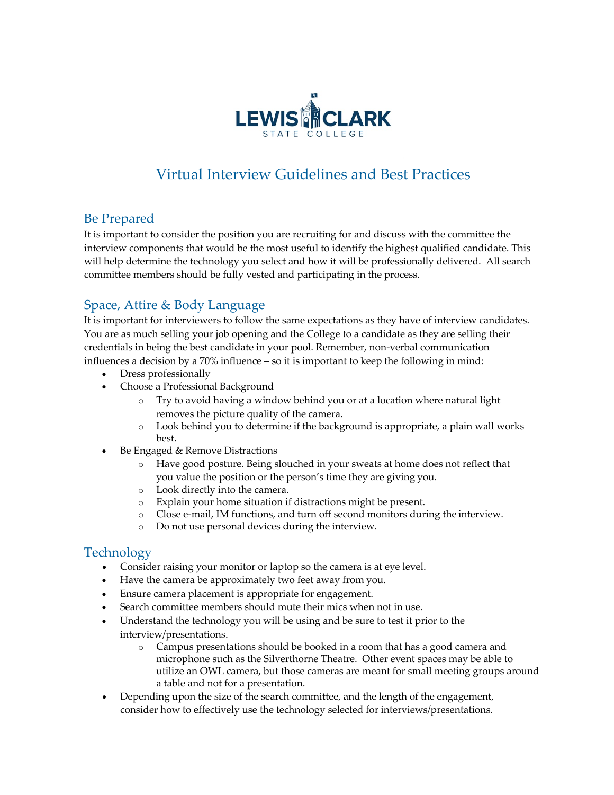

# Virtual Interview Guidelines and Best Practices

#### Be Prepared

It is important to consider the position you are recruiting for and discuss with the committee the interview components that would be the most useful to identify the highest qualified candidate. This will help determine the technology you select and how it will be professionally delivered. All search committee members should be fully vested and participating in the process.

## Space, Attire & Body Language

It is important for interviewers to follow the same expectations as they have of interview candidates. You are as much selling your job opening and the College to a candidate as they are selling their credentials in being the best candidate in your pool. Remember, non-verbal communication influences a decision by a 70% influence – so it is important to keep the following in mind:

- Dress professionally
- Choose a Professional Background
	- $\circ$  Try to avoid having a window behind you or at a location where natural light removes the picture quality of the camera.
	- o Look behind you to determine if the background is appropriate, a plain wall works best.
- Be Engaged & Remove Distractions
	- o Have good posture. Being slouched in your sweats at home does not reflect that you value the position or the person's time they are giving you.
	- o Look directly into the camera.
	- o Explain your home situation if distractions might be present.
	- o Close e-mail, IM functions, and turn off second monitors during the interview.
	- o Do not use personal devices during the interview.

## Technology

- Consider raising your monitor or laptop so the camera is at eye level.
- Have the camera be approximately two feet away from you.
- Ensure camera placement is appropriate for engagement.
- Search committee members should mute their mics when not in use.
- Understand the technology you will be using and be sure to test it prior to the interview/presentations.
	- o Campus presentations should be booked in a room that has a good camera and microphone such as the Silverthorne Theatre. Other event spaces may be able to utilize an OWL camera, but those cameras are meant for small meeting groups around a table and not for a presentation.
- Depending upon the size of the search committee, and the length of the engagement, consider how to effectively use the technology selected for interviews/presentations.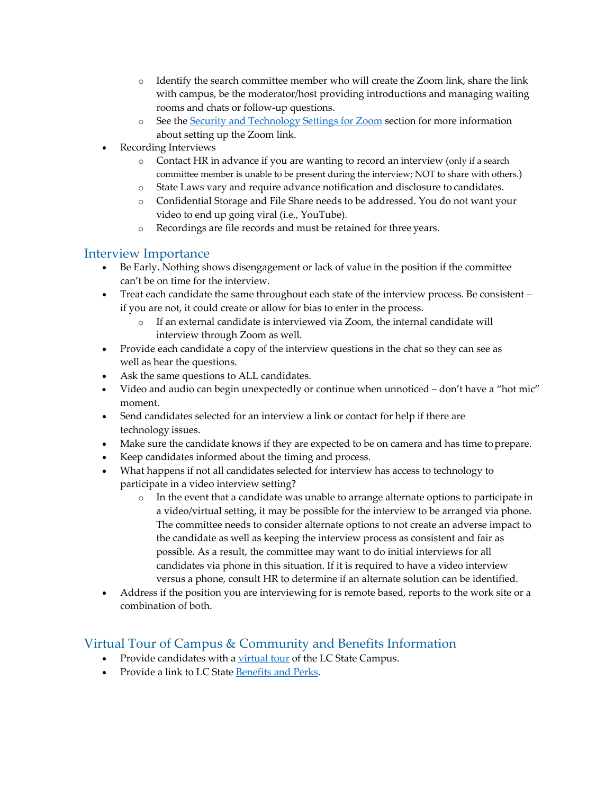- o Identify the search committee member who will create the Zoom link, share the link with campus, be the moderator/host providing introductions and managing waiting rooms and chats or follow-up questions.
- o See the Security and Technology Settings for Zoom section for more information about setting up the Zoom link.
- Recording Interviews
	- o Contact HR in advance if you are wanting to record an interview (only if a search committee member is unable to be present during the interview; NOT to share with others.)
	- State Laws vary and require advance notification and disclosure to candidates.
	- o Confidential Storage and File Share needs to be addressed. You do not want your video to end up going viral (i.e., YouTube).
	- o Recordings are file records and must be retained for three years.

## Interview Importance

- Be Early. Nothing shows disengagement or lack of value in the position if the committee can't be on time for the interview.
- Treat each candidate the same throughout each state of the interview process. Be consistent if you are not, it could create or allow for bias to enter in the process.
	- o If an external candidate is interviewed via Zoom, the internal candidate will interview through Zoom as well.
- Provide each candidate a copy of the interview questions in the chat so they can see as well as hear the questions.
- Ask the same questions to ALL candidates.
- Video and audio can begin unexpectedly or continue when unnoticed don't have a "hot mic" moment.
- Send candidates selected for an interview a link or contact for help if there are technology issues.
- Make sure the candidate knows if they are expected to be on camera and has time toprepare.
- Keep candidates informed about the timing and process.
- What happens if not all candidates selected for interview has access to technology to participate in a video interview setting?
	- o In the event that a candidate was unable to arrange alternate options to participate in a video/virtual setting, it may be possible for the interview to be arranged via phone. The committee needs to consider alternate options to not create an adverse impact to the candidate as well as keeping the interview process as consistent and fair as possible. As a result, the committee may want to do initial interviews for all candidates via phone in this situation. If it is required to have a video interview versus a phone, consult HR to determine if an alternate solution can be identified.
- Address if the position you are interviewing for is remote based, reports to the work site or a combination of both.

## Virtual Tour of Campus & Community and Benefits Information

- Provide candidates with a virtual tour of the LC State Campus.
- Provide a link to LC State Benefits and Perks.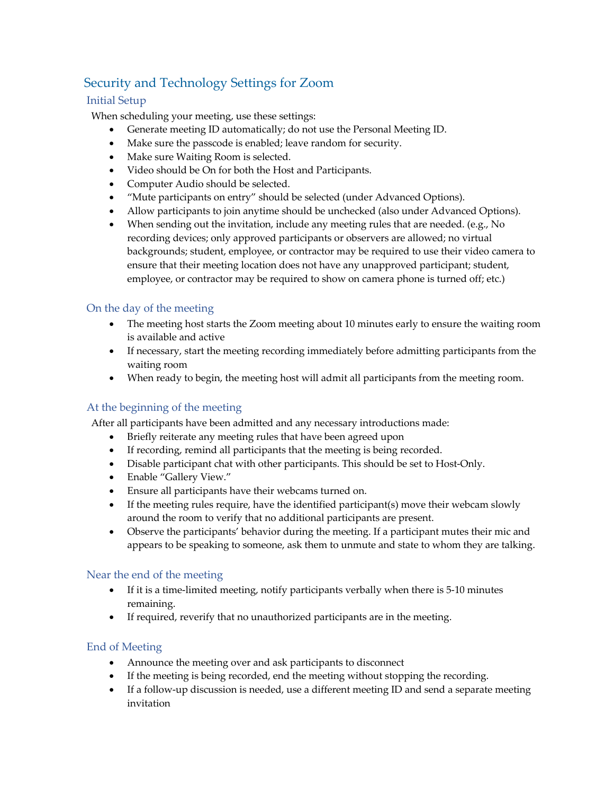# Security and Technology Settings for Zoom

#### Initial Setup

When scheduling your meeting, use these settings:

- Generate meeting ID automatically; do not use the Personal Meeting ID.
- Make sure the passcode is enabled; leave random for security.
- Make sure Waiting Room is selected.
- Video should be On for both the Host and Participants.
- Computer Audio should be selected.
- "Mute participants on entry" should be selected (under Advanced Options).
- Allow participants to join anytime should be unchecked (also under Advanced Options).
- When sending out the invitation, include any meeting rules that are needed. (e.g., No recording devices; only approved participants or observers are allowed; no virtual backgrounds; student, employee, or contractor may be required to use their video camera to ensure that their meeting location does not have any unapproved participant; student, employee, or contractor may be required to show on camera phone is turned off; etc.)

#### On the day of the meeting

- The meeting host starts the Zoom meeting about 10 minutes early to ensure the waiting room is available and active
- If necessary, start the meeting recording immediately before admitting participants from the waiting room
- When ready to begin, the meeting host will admit all participants from the meeting room.

#### At the beginning of the meeting

After all participants have been admitted and any necessary introductions made:

- Briefly reiterate any meeting rules that have been agreed upon
- If recording, remind all participants that the meeting is being recorded.
- Disable participant chat with other participants. This should be set to Host-Only.
- Enable "Gallery View."
- Ensure all participants have their webcams turned on.
- If the meeting rules require, have the identified participant(s) move their webcam slowly around the room to verify that no additional participants are present.
- Observe the participants' behavior during the meeting. If a participant mutes their mic and appears to be speaking to someone, ask them to unmute and state to whom they are talking.

#### Near the end of the meeting

- If it is a time-limited meeting, notify participants verbally when there is 5-10 minutes remaining.
- If required, reverify that no unauthorized participants are in the meeting.

#### End of Meeting

- Announce the meeting over and ask participants to disconnect
- If the meeting is being recorded, end the meeting without stopping the recording.
- If a follow-up discussion is needed, use a different meeting ID and send a separate meeting invitation